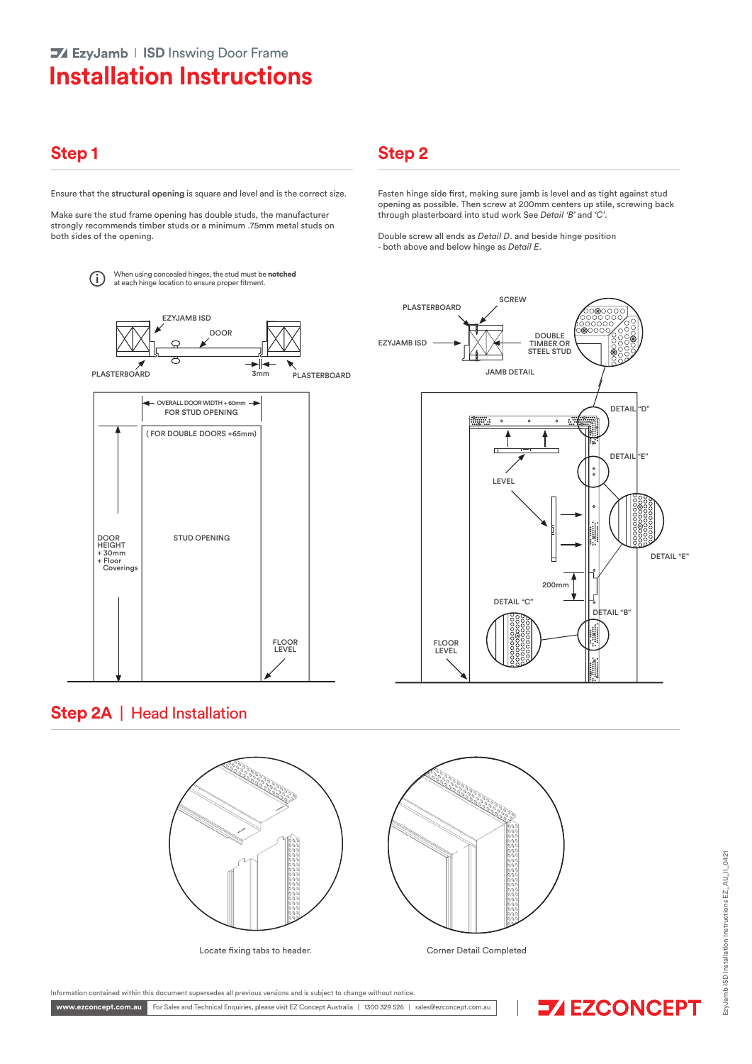# **Installation Instructions**

### **Step 1 Step 2**

Ensure that the structural opening is square and level and is the correct size.

Make sure the stud frame opening has double studs, the manufacturer strongly recommends timber studs or a minimum .75mm metal studs on both sides of the opening.

> When using concealed hinges, the stud must be **notched** (i) When using concealed hinges, the stud must be at each hinge location to ensure proper fitment.





Fasten hinge side first, making sure jamb is level and as tight against stud opening as possible. Then screw at 200mm centers up stile, screwing back

**SCREW** 

through plasterboard into stud work See *Detail 'B'* and *'C'*. Double screw all ends as *Detail D*. and beside hinge position

- both above and below hinge as *Detail E*.

### **Step 2A** |Head Installation





zyJamb ISD Installation Instructions EZ\_AU\_II\_0421 EzyJamb ISD Installation Instructions EZ\_AU\_II\_0421

Information contained within this document supersedes all previous versions and is subject to change without notice.

www.ezconcept.com.au For Sales and Technical Enquiries, please visit EZ Concept Australia | 1300 329 526 | sales@ezconcept.com.au